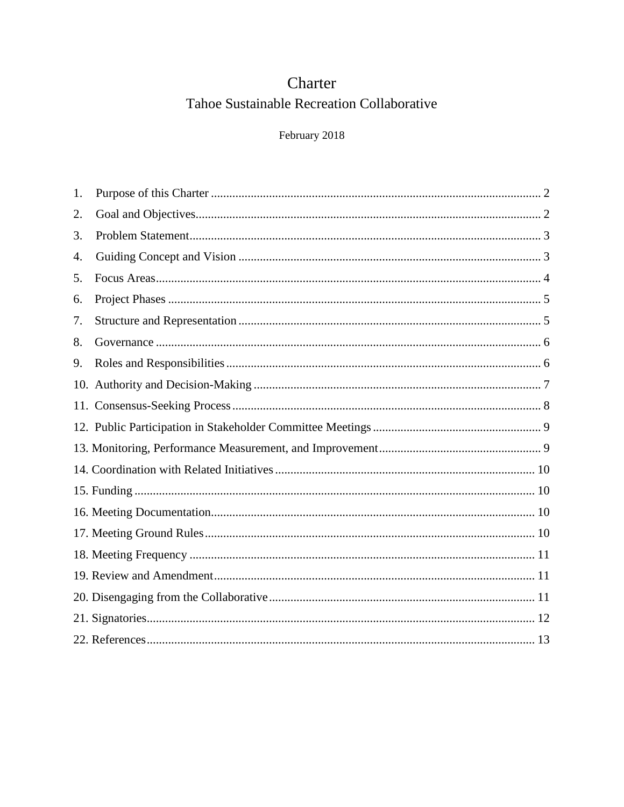# Charter Tahoe Sustainable Recreation Collaborative

# February 2018

| 1. |  |
|----|--|
| 2. |  |
| 3. |  |
| 4. |  |
| 5. |  |
| 6. |  |
| 7. |  |
| 8. |  |
| 9. |  |
|    |  |
|    |  |
|    |  |
|    |  |
|    |  |
|    |  |
|    |  |
|    |  |
|    |  |
|    |  |
|    |  |
|    |  |
|    |  |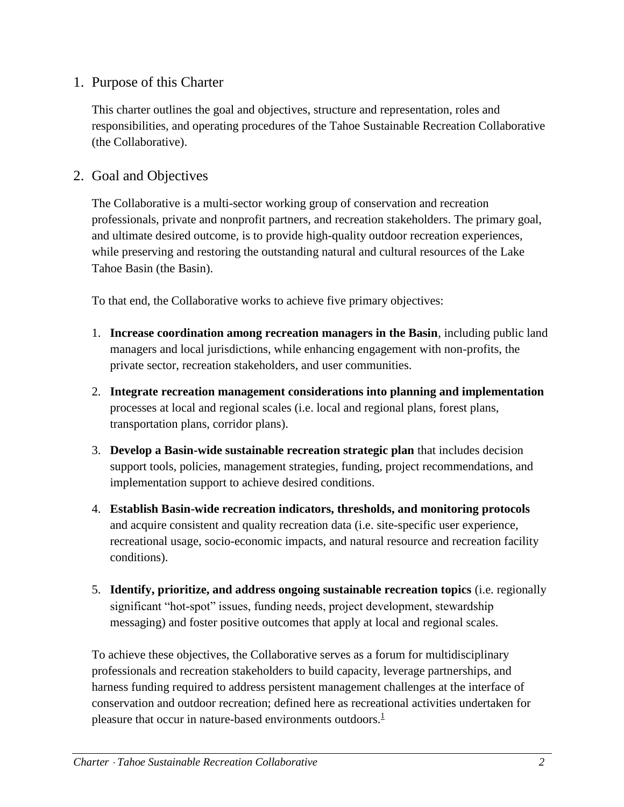# <span id="page-1-0"></span>1. Purpose of this Charter

This charter outlines the goal and objectives, structure and representation, roles and responsibilities, and operating procedures of the Tahoe Sustainable Recreation Collaborative (the Collaborative).

### <span id="page-1-1"></span>2. Goal and Objectives

The Collaborative is a multi-sector working group of conservation and recreation professionals, private and nonprofit partners, and recreation stakeholders. The primary goal, and ultimate desired outcome, is to provide high-quality outdoor recreation experiences, while preserving and restoring the outstanding natural and cultural resources of the Lake Tahoe Basin (the Basin).

To that end, the Collaborative works to achieve five primary objectives:

- 1. **Increase coordination among recreation managers in the Basin**, including public land managers and local jurisdictions, while enhancing engagement with non-profits, the private sector, recreation stakeholders, and user communities.
- 2. **Integrate recreation management considerations into planning and implementation**  processes at local and regional scales (i.e. local and regional plans, forest plans, transportation plans, corridor plans).
- 3. **Develop a Basin-wide sustainable recreation strategic plan** that includes decision support tools, policies, management strategies, funding, project recommendations, and implementation support to achieve desired conditions.
- 4. **Establish Basin-wide recreation indicators, thresholds, and monitoring protocols**  and acquire consistent and quality recreation data (i.e. site-specific user experience, recreational usage, socio-economic impacts, and natural resource and recreation facility conditions).
- 5. **Identify, prioritize, and address ongoing sustainable recreation topics** (i.e. regionally significant "hot-spot" issues, funding needs, project development, stewardship messaging) and foster positive outcomes that apply at local and regional scales.

To achieve these objectives, the Collaborative serves as a forum for multidisciplinary professionals and recreation stakeholders to build capacity, leverage partnerships, and harness funding required to address persistent management challenges at the interface of conservation and outdoor recreation; defined here as recreational activities undertaken for pleasure that occur in nature-based environments outdoors[.](#page-12-1)<sup>1</sup>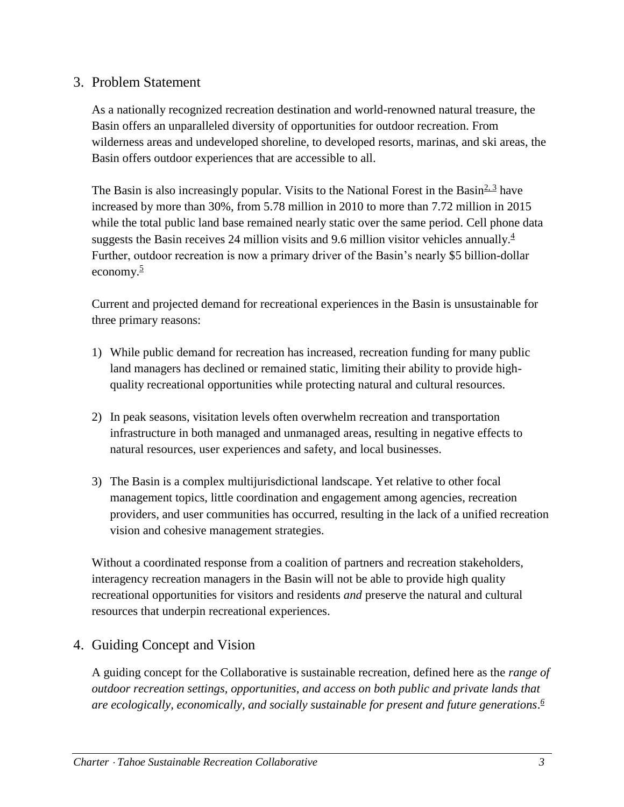# <span id="page-2-0"></span>3. Problem Statement

As a nationally recognized recreation destination and world-renowned natural treasure, the Basin offers an unparalleled diversity of opportunities for outdoor recreation. From wilderness areas and undeveloped shoreline, to developed resorts, marinas, and ski areas, the Basin offers outdoor experiences that are accessible to all.

The Basin is also increasingly popular. Visits to the National Forest in the Basin $2.3$  have increased by more than 30%, from 5.78 million in 2010 to more than 7.72 million in 2015 while the total public land base remained nearly static over the same period. Cell phone data suggests the Basin receives 2[4](#page-12-3) million visits and 9.6 million visitor vehicles annually. $\frac{4}{3}$ Further, outdoor recreation is now a primary driver of the Basin's nearly \$5 billion-dollar economy. $\frac{5}{5}$  $\frac{5}{5}$  $\frac{5}{5}$ 

Current and projected demand for recreational experiences in the Basin is unsustainable for three primary reasons:

- 1) While public demand for recreation has increased, recreation funding for many public land managers has declined or remained static, limiting their ability to provide highquality recreational opportunities while protecting natural and cultural resources.
- 2) In peak seasons, visitation levels often overwhelm recreation and transportation infrastructure in both managed and unmanaged areas, resulting in negative effects to natural resources, user experiences and safety, and local businesses.
- 3) The Basin is a complex multijurisdictional landscape. Yet relative to other focal management topics, little coordination and engagement among agencies, recreation providers, and user communities has occurred, resulting in the lack of a unified recreation vision and cohesive management strategies.

Without a coordinated response from a coalition of partners and recreation stakeholders, interagency recreation managers in the Basin will not be able to provide high quality recreational opportunities for visitors and residents *and* preserve the natural and cultural resources that underpin recreational experiences.

# <span id="page-2-1"></span>4. Guiding Concept and Vision

A guiding concept for the Collaborative is sustainable recreation, defined here as the *range of outdoor recreation settings, opportunities, and access on both public and private lands that are ecologically, economically, and socially sustainable for present and future generations*. *[6](#page-12-5)*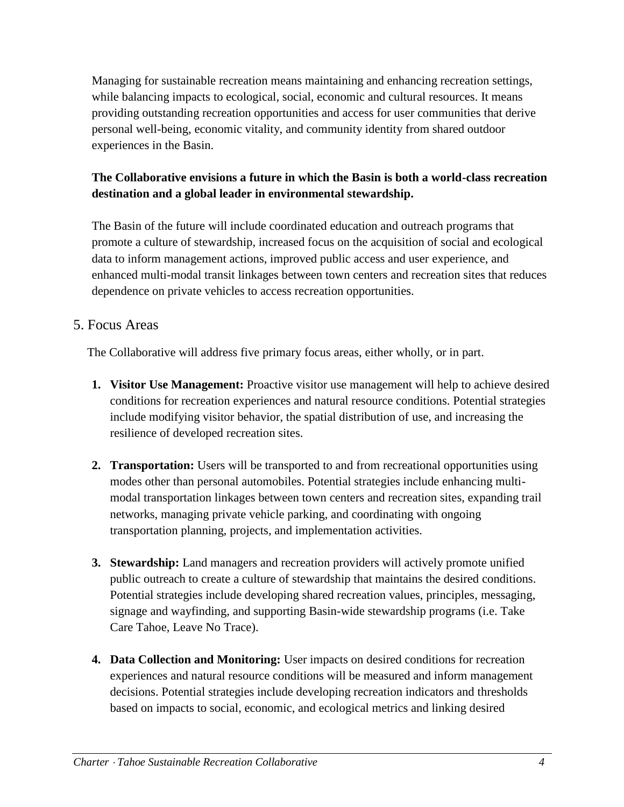Managing for sustainable recreation means maintaining and enhancing recreation settings, while balancing impacts to ecological, social, economic and cultural resources. It means providing outstanding recreation opportunities and access for user communities that derive personal well-being, economic vitality, and community identity from shared outdoor experiences in the Basin.

# **The Collaborative envisions a future in which the Basin is both a world-class recreation destination and a global leader in environmental stewardship.**

The Basin of the future will include coordinated education and outreach programs that promote a culture of stewardship, increased focus on the acquisition of social and ecological data to inform management actions, improved public access and user experience, and enhanced multi-modal transit linkages between town centers and recreation sites that reduces dependence on private vehicles to access recreation opportunities.

### <span id="page-3-0"></span>5. Focus Areas

The Collaborative will address five primary focus areas, either wholly, or in part.

- **1. Visitor Use Management:** Proactive visitor use management will help to achieve desired conditions for recreation experiences and natural resource conditions. Potential strategies include modifying visitor behavior, the spatial distribution of use, and increasing the resilience of developed recreation sites.
- **2. Transportation:** Users will be transported to and from recreational opportunities using modes other than personal automobiles. Potential strategies include enhancing multimodal transportation linkages between town centers and recreation sites, expanding trail networks, managing private vehicle parking, and coordinating with ongoing transportation planning, projects, and implementation activities.
- **3. Stewardship:** Land managers and recreation providers will actively promote unified public outreach to create a culture of stewardship that maintains the desired conditions. Potential strategies include developing shared recreation values, principles, messaging, signage and wayfinding, and supporting Basin-wide stewardship programs (i.e. Take Care Tahoe, Leave No Trace).
- **4. Data Collection and Monitoring:** User impacts on desired conditions for recreation experiences and natural resource conditions will be measured and inform management decisions. Potential strategies include developing recreation indicators and thresholds based on impacts to social, economic, and ecological metrics and linking desired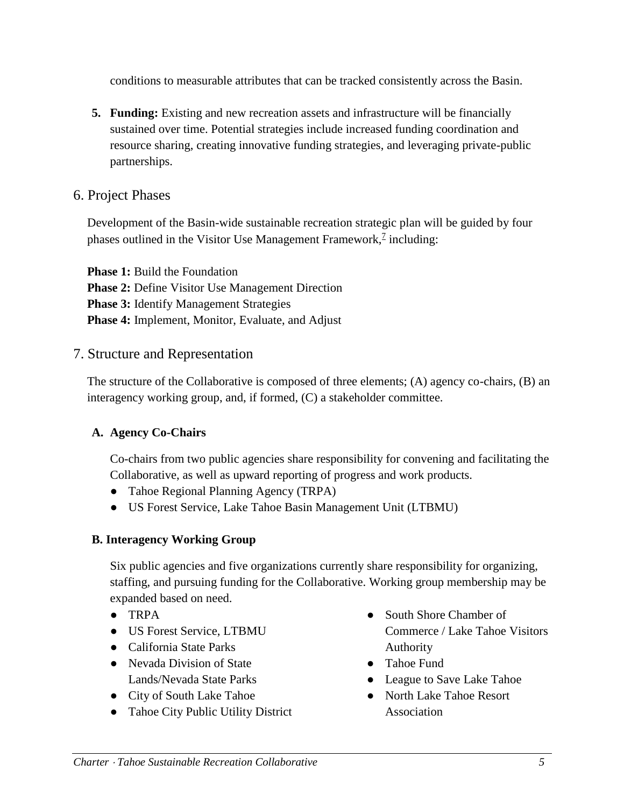conditions to measurable attributes that can be tracked consistently across the Basin.

**5. Funding:** Existing and new recreation assets and infrastructure will be financially sustained over time. Potential strategies include increased funding coordination and resource sharing, creating innovative funding strategies, and leveraging private-public partnerships.

# <span id="page-4-0"></span>6. Project Phases

Development of the Basin-wide sustainable recreation strategic plan will be guided by four phases outlined in the Visitor Use Management Framework, $\frac{7}{7}$  $\frac{7}{7}$  $\frac{7}{7}$  including:

**Phase 1:** Build the Foundation **Phase 2: Define Visitor Use Management Direction Phase 3:** Identify Management Strategies **Phase 4:** Implement, Monitor, Evaluate, and Adjust

### <span id="page-4-1"></span>7. Structure and Representation

The structure of the Collaborative is composed of three elements; (A) agency co-chairs, (B) an interagency working group, and, if formed, (C) a stakeholder committee.

### **A. Agency Co-Chairs**

Co-chairs from two public agencies share responsibility for convening and facilitating the Collaborative, as well as upward reporting of progress and work products.

- Tahoe Regional Planning Agency (TRPA)
- US Forest Service, Lake Tahoe Basin Management Unit (LTBMU)

# **B. Interagency Working Group**

Six public agencies and five organizations currently share responsibility for organizing, staffing, and pursuing funding for the Collaborative. Working group membership may be expanded based on need.

- TRPA
- US Forest Service, LTBMU
- California State Parks
- Nevada Division of State Lands/Nevada State Parks
- City of South Lake Tahoe
- Tahoe City Public Utility District
- South Shore Chamber of Commerce / Lake Tahoe Visitors Authority
- Tahoe Fund
- League to Save Lake Tahoe
- North Lake Tahoe Resort Association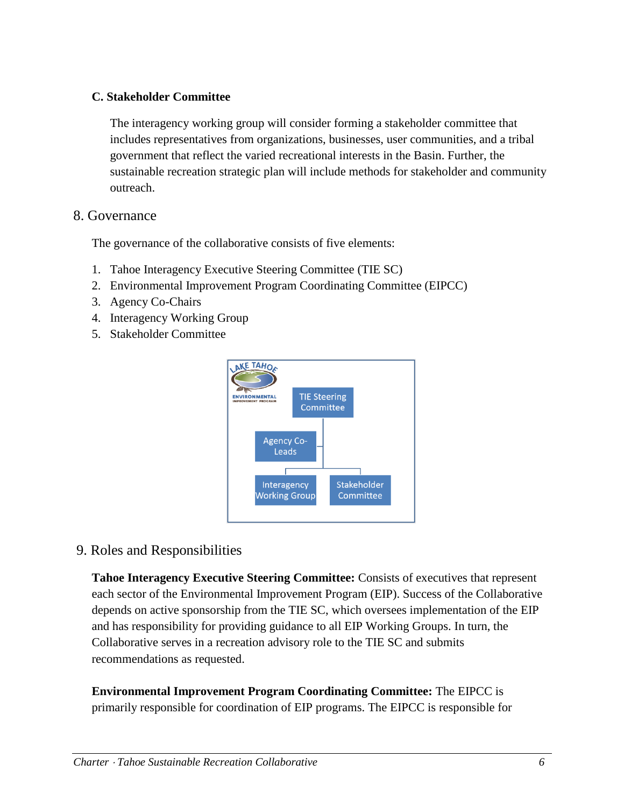#### **C. Stakeholder Committee**

The interagency working group will consider forming a stakeholder committee that includes representatives from organizations, businesses, user communities, and a tribal government that reflect the varied recreational interests in the Basin. Further, the sustainable recreation strategic plan will include methods for stakeholder and community outreach.

#### <span id="page-5-0"></span>8. Governance

The governance of the collaborative consists of five elements:

- 1. Tahoe Interagency Executive Steering Committee (TIE SC)
- 2. Environmental Improvement Program Coordinating Committee (EIPCC)
- 3. Agency Co-Chairs
- 4. Interagency Working Group
- 5. Stakeholder Committee



<span id="page-5-1"></span>9. Roles and Responsibilities

**Tahoe Interagency Executive Steering Committee:** Consists of executives that represent each sector of the Environmental Improvement Program (EIP). Success of the Collaborative depends on active sponsorship from the TIE SC, which oversees implementation of the EIP and has responsibility for providing guidance to all EIP Working Groups. In turn, the Collaborative serves in a recreation advisory role to the TIE SC and submits recommendations as requested.

**Environmental Improvement Program Coordinating Committee:** The EIPCC is primarily responsible for coordination of EIP programs. The EIPCC is responsible for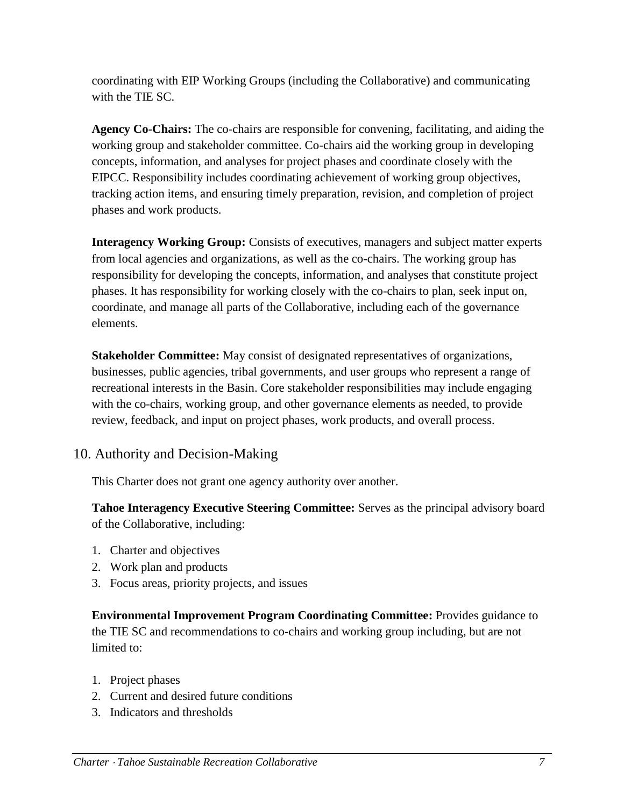coordinating with EIP Working Groups (including the Collaborative) and communicating with the TIE SC.

**Agency Co-Chairs:** The co-chairs are responsible for convening, facilitating, and aiding the working group and stakeholder committee. Co-chairs aid the working group in developing concepts, information, and analyses for project phases and coordinate closely with the EIPCC. Responsibility includes coordinating achievement of working group objectives, tracking action items, and ensuring timely preparation, revision, and completion of project phases and work products.

**Interagency Working Group:** Consists of executives, managers and subject matter experts from local agencies and organizations, as well as the co-chairs. The working group has responsibility for developing the concepts, information, and analyses that constitute project phases. It has responsibility for working closely with the co-chairs to plan, seek input on, coordinate, and manage all parts of the Collaborative, including each of the governance elements.

**Stakeholder Committee:** May consist of designated representatives of organizations, businesses, public agencies, tribal governments, and user groups who represent a range of recreational interests in the Basin. Core stakeholder responsibilities may include engaging with the co-chairs, working group, and other governance elements as needed, to provide review, feedback, and input on project phases, work products, and overall process.

# <span id="page-6-0"></span>10. Authority and Decision-Making

This Charter does not grant one agency authority over another.

**Tahoe Interagency Executive Steering Committee:** Serves as the principal advisory board of the Collaborative, including:

- 1. Charter and objectives
- 2. Work plan and products
- 3. Focus areas, priority projects, and issues

**Environmental Improvement Program Coordinating Committee:** Provides guidance to the TIE SC and recommendations to co-chairs and working group including, but are not limited to:

- 1. Project phases
- 2. Current and desired future conditions
- 3. Indicators and thresholds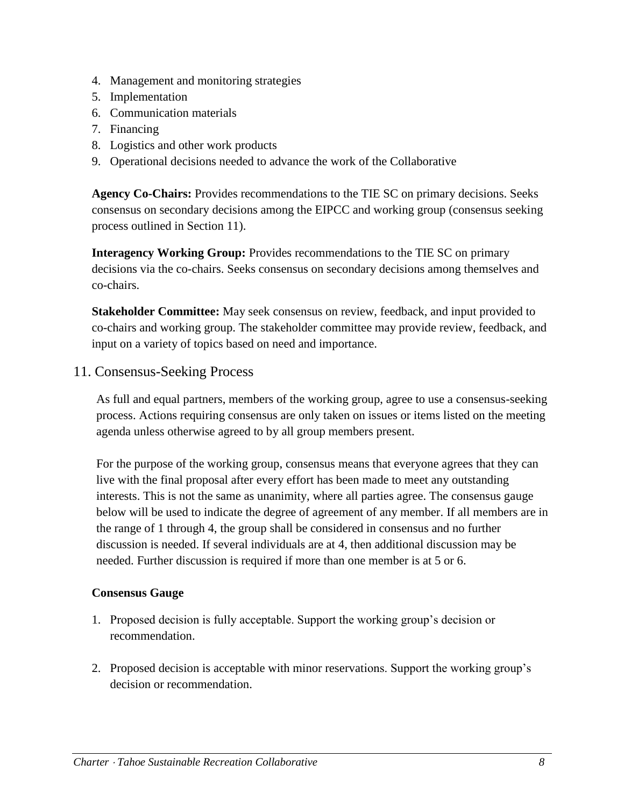- 4. Management and monitoring strategies
- 5. Implementation
- 6. Communication materials
- 7. Financing
- 8. Logistics and other work products
- 9. Operational decisions needed to advance the work of the Collaborative

**Agency Co-Chairs:** Provides recommendations to the TIE SC on primary decisions. Seeks consensus on secondary decisions among the EIPCC and working group (consensus seeking process outlined in Section 11).

**Interagency Working Group:** Provides recommendations to the TIE SC on primary decisions via the co-chairs. Seeks consensus on secondary decisions among themselves and co-chairs.

**Stakeholder Committee:** May seek consensus on review, feedback, and input provided to co-chairs and working group. The stakeholder committee may provide review, feedback, and input on a variety of topics based on need and importance.

<span id="page-7-0"></span>11. Consensus-Seeking Process

As full and equal partners, members of the working group, agree to use a consensus-seeking process. Actions requiring consensus are only taken on issues or items listed on the meeting agenda unless otherwise agreed to by all group members present.

For the purpose of the working group, consensus means that everyone agrees that they can live with the final proposal after every effort has been made to meet any outstanding interests. This is not the same as unanimity, where all parties agree. The consensus gauge below will be used to indicate the degree of agreement of any member. If all members are in the range of 1 through 4, the group shall be considered in consensus and no further discussion is needed. If several individuals are at 4, then additional discussion may be needed. Further discussion is required if more than one member is at 5 or 6.

#### **Consensus Gauge**

- 1. Proposed decision is fully acceptable. Support the working group's decision or recommendation.
- 2. Proposed decision is acceptable with minor reservations. Support the working group's decision or recommendation.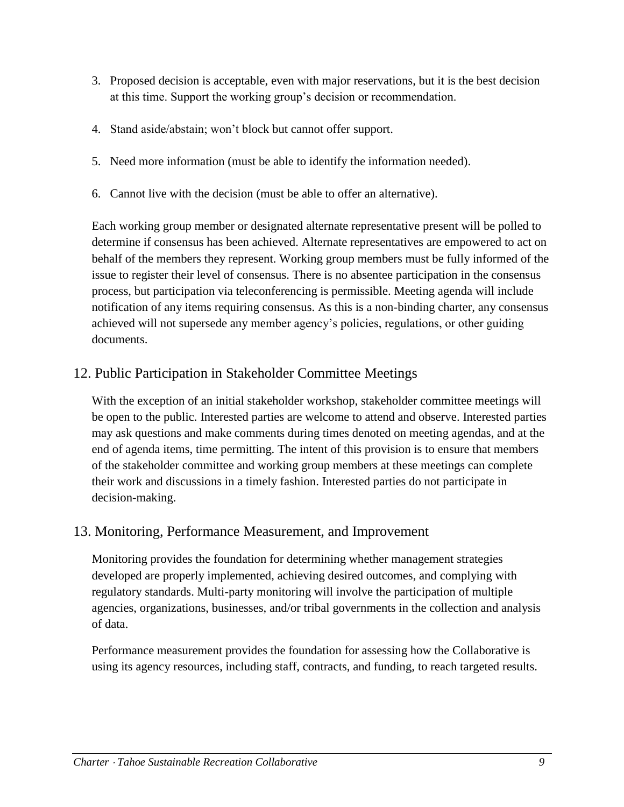- 3. Proposed decision is acceptable, even with major reservations, but it is the best decision at this time. Support the working group's decision or recommendation.
- 4. Stand aside/abstain; won't block but cannot offer support.
- 5. Need more information (must be able to identify the information needed).
- 6. Cannot live with the decision (must be able to offer an alternative).

Each working group member or designated alternate representative present will be polled to determine if consensus has been achieved. Alternate representatives are empowered to act on behalf of the members they represent. Working group members must be fully informed of the issue to register their level of consensus. There is no absentee participation in the consensus process, but participation via teleconferencing is permissible. Meeting agenda will include notification of any items requiring consensus. As this is a non-binding charter, any consensus achieved will not supersede any member agency's policies, regulations, or other guiding documents.

### <span id="page-8-0"></span>12. Public Participation in Stakeholder Committee Meetings

With the exception of an initial stakeholder workshop, stakeholder committee meetings will be open to the public. Interested parties are welcome to attend and observe. Interested parties may ask questions and make comments during times denoted on meeting agendas, and at the end of agenda items, time permitting. The intent of this provision is to ensure that members of the stakeholder committee and working group members at these meetings can complete their work and discussions in a timely fashion. Interested parties do not participate in decision-making.

# <span id="page-8-1"></span>13. Monitoring, Performance Measurement, and Improvement

Monitoring provides the foundation for determining whether management strategies developed are properly implemented, achieving desired outcomes, and complying with regulatory standards. Multi-party monitoring will involve the participation of multiple agencies, organizations, businesses, and/or tribal governments in the collection and analysis of data.

Performance measurement provides the foundation for assessing how the Collaborative is using its agency resources, including staff, contracts, and funding, to reach targeted results.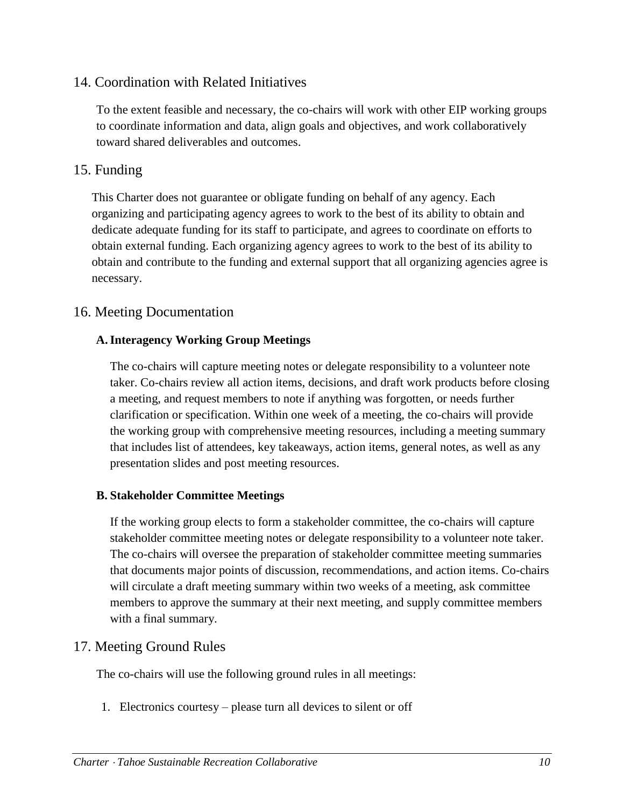# <span id="page-9-0"></span>14. Coordination with Related Initiatives

To the extent feasible and necessary, the co-chairs will work with other EIP working groups to coordinate information and data, align goals and objectives, and work collaboratively toward shared deliverables and outcomes.

### <span id="page-9-1"></span>15. Funding

This Charter does not guarantee or obligate funding on behalf of any agency. Each organizing and participating agency agrees to work to the best of its ability to obtain and dedicate adequate funding for its staff to participate, and agrees to coordinate on efforts to obtain external funding. Each organizing agency agrees to work to the best of its ability to obtain and contribute to the funding and external support that all organizing agencies agree is necessary.

# <span id="page-9-2"></span>16. Meeting Documentation

#### **A.Interagency Working Group Meetings**

The co-chairs will capture meeting notes or delegate responsibility to a volunteer note taker. Co-chairs review all action items, decisions, and draft work products before closing a meeting, and request members to note if anything was forgotten, or needs further clarification or specification. Within one week of a meeting, the co-chairs will provide the working group with comprehensive meeting resources, including a meeting summary that includes list of attendees, key takeaways, action items, general notes, as well as any presentation slides and post meeting resources.

#### **B. Stakeholder Committee Meetings**

If the working group elects to form a stakeholder committee, the co-chairs will capture stakeholder committee meeting notes or delegate responsibility to a volunteer note taker. The co-chairs will oversee the preparation of stakeholder committee meeting summaries that documents major points of discussion, recommendations, and action items. Co-chairs will circulate a draft meeting summary within two weeks of a meeting, ask committee members to approve the summary at their next meeting, and supply committee members with a final summary.

### <span id="page-9-3"></span>17. Meeting Ground Rules

The co-chairs will use the following ground rules in all meetings:

1. Electronics courtesy – please turn all devices to silent or off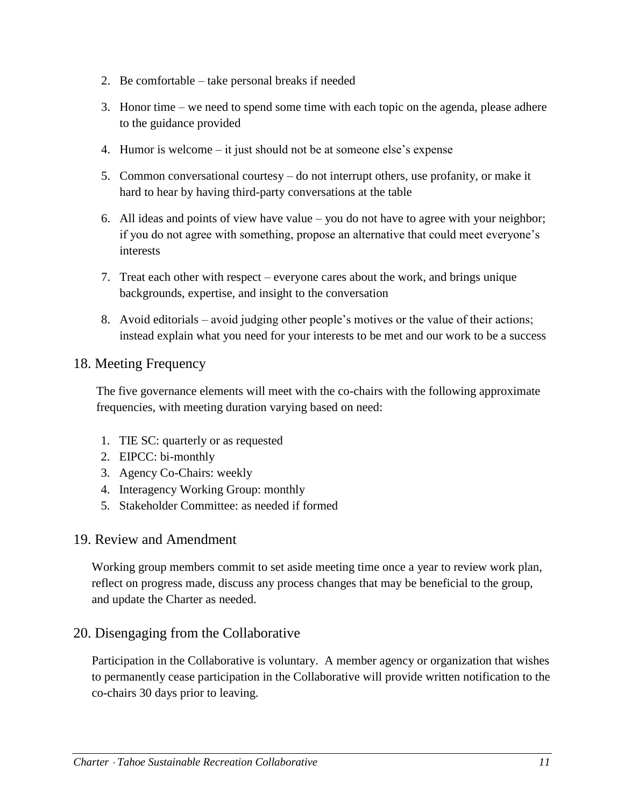- 2. Be comfortable take personal breaks if needed
- 3. Honor time we need to spend some time with each topic on the agenda, please adhere to the guidance provided
- 4. Humor is welcome it just should not be at someone else's expense
- 5. Common conversational courtesy do not interrupt others, use profanity, or make it hard to hear by having third-party conversations at the table
- 6. All ideas and points of view have value you do not have to agree with your neighbor; if you do not agree with something, propose an alternative that could meet everyone's interests
- 7. Treat each other with respect everyone cares about the work, and brings unique backgrounds, expertise, and insight to the conversation
- 8. Avoid editorials avoid judging other people's motives or the value of their actions; instead explain what you need for your interests to be met and our work to be a success

### <span id="page-10-0"></span>18. Meeting Frequency

The five governance elements will meet with the co-chairs with the following approximate frequencies, with meeting duration varying based on need:

- 1. TIE SC: quarterly or as requested
- 2. EIPCC: bi-monthly
- 3. Agency Co-Chairs: weekly
- 4. Interagency Working Group: monthly
- 5. Stakeholder Committee: as needed if formed

### <span id="page-10-1"></span>19. Review and Amendment

Working group members commit to set aside meeting time once a year to review work plan, reflect on progress made, discuss any process changes that may be beneficial to the group, and update the Charter as needed.

# <span id="page-10-2"></span>20. Disengaging from the Collaborative

Participation in the Collaborative is voluntary. A member agency or organization that wishes to permanently cease participation in the Collaborative will provide written notification to the co-chairs 30 days prior to leaving.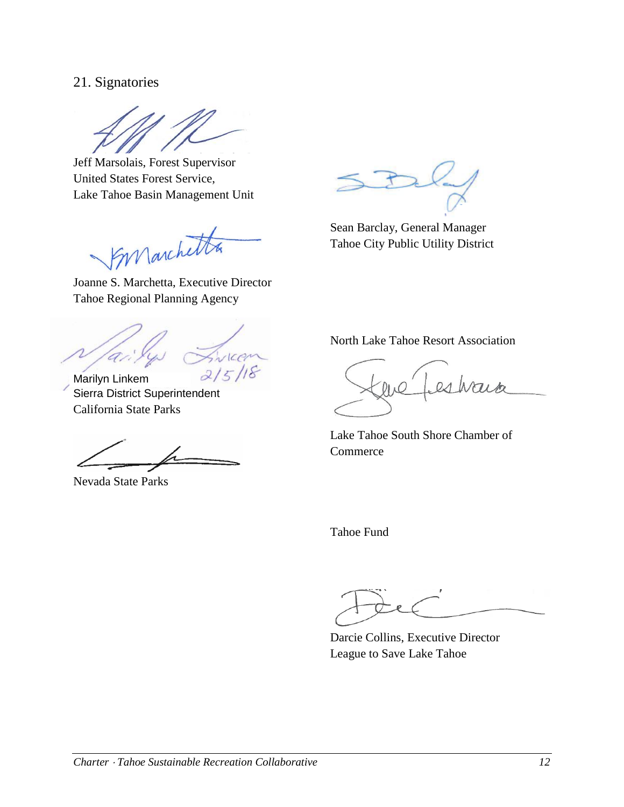### <span id="page-11-0"></span>21. Signatories

Jeff Marsolais, Forest Supervisor United States Forest Service, Lake Tahoe Basin Management Unit

Joanne S. Marchetta, Executive Director

Tahoe Regional Planning Agency

DUCAN  $215$ 

Marilyn Linkem Sierra District Superintendent California State Parks

Nevada State Parks

Sean Barclay, General Manager Tahoe City Public Utility District

North Lake Tahoe Resort Association

Lake Tahoe South Shore Chamber of **Commerce** 

Tahoe Fund

Darcie Collins, Executive Director League to Save Lake Tahoe